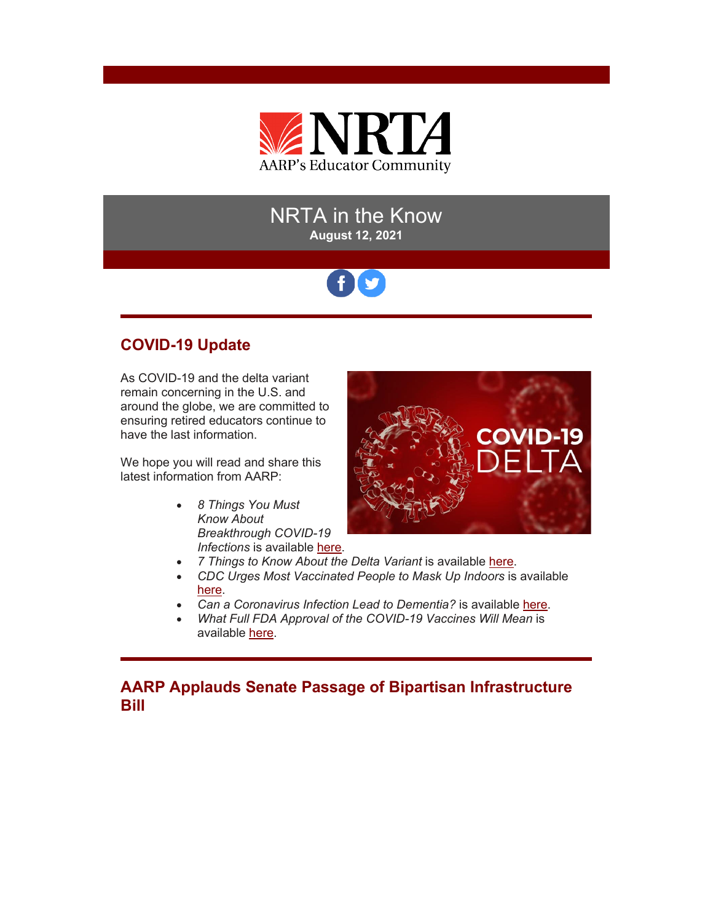

# NRTA in the Know **August 12, 2021**

# **COVID-19 Update**

As COVID-19 and the delta variant remain concerning in the U.S. and around the globe, we are committed to ensuring retired educators continue to have the last information.

We hope you will read and share this latest information from AARP:

> • *8 Things You Must Know About Breakthrough COVID-19 Infections* is available [here.](https://r20.rs6.net/tn.jsp?f=001rnkpvpGdTKrfyhBaXhj_qmnrot8uvLlZUvcaCKzaC6WqeJp4abkVVShYCKNNi2KtgKQIN9qO6eoIKkvWf8yVeQXVXAjCzspPHcoMzjzdVnG5upYrEcKJiTLJBqAtAy1S1XWMtjsedq96K127_dEZyUxLWOXn1FdKuasXg8okykKT060oxVmJ49Dif8j_p-bpxTFUM_GhHTKfSwluNfQVKLYRiNsUzaVJhCSC1K3rdQ5PV68sRqNNLg==&c=5oyp_K7jORGwv1FtwztCCE7_2NvDYrx3PTruT3m8WhEuMZ-6T6rEMQ==&ch=TzHsWNYIzpW4M89tdPtgMJyrbyY0Cv_EMgreK9fG-lMU3b7RUxrz_w==)



- *7 Things to Know About the Delta Variant* is available [here.](https://r20.rs6.net/tn.jsp?f=001rnkpvpGdTKrfyhBaXhj_qmnrot8uvLlZUvcaCKzaC6WqeJp4abkVVXEHt69W9hQUZC4b7jI0slL7NAMJIs-DHEEUABPxPfunghnu1CCmkZ-YGIf9mSM8F9jtU2VUzERYlK-Wx2zYxBmx1DB6ZAQvgDFPMYzhOMQbXq3_g-_gdSkJlV3gNA-6thefIAq-0sr83ake4iRP8kWtSXv0puzPPh7y4_xYU2jkZuOvYKskue_vsVr_pq5bqw==&c=5oyp_K7jORGwv1FtwztCCE7_2NvDYrx3PTruT3m8WhEuMZ-6T6rEMQ==&ch=TzHsWNYIzpW4M89tdPtgMJyrbyY0Cv_EMgreK9fG-lMU3b7RUxrz_w==)
- CDC Urges Most Vaccinated People to Mask Up Indoors is available [here.](https://r20.rs6.net/tn.jsp?f=001rnkpvpGdTKrfyhBaXhj_qmnrot8uvLlZUvcaCKzaC6WqeJp4abkVVShYCKNNi2KtriDMQ8QHCfDRcnx-NL_EFhCSRXhishKh5foYAQP0TNPssDJg_a991IXdJXJK7KGNQcUwzgS2MLR30I2ytEfoqy24DKgXRvviLff2rSX-3RMkjPdRM7wPhkGylj04cFzjrBwJ1RpueB1AiAhpdpuMYwzx4HyFMyFo8s1sYI_EWU2cWZj2UJ7kKGUAk3mzksTy&c=5oyp_K7jORGwv1FtwztCCE7_2NvDYrx3PTruT3m8WhEuMZ-6T6rEMQ==&ch=TzHsWNYIzpW4M89tdPtgMJyrbyY0Cv_EMgreK9fG-lMU3b7RUxrz_w==)
- *Can a Coronavirus Infection Lead to Dementia?* is available [here.](https://r20.rs6.net/tn.jsp?f=001rnkpvpGdTKrfyhBaXhj_qmnrot8uvLlZUvcaCKzaC6WqeJp4abkVVShYCKNNi2KtaVTzsCOyacVSoNvs74aXHLQ2BV9tPfHmHcbQRcqEg4AOJ2egPM2JbYsv_Vw4Y7LGuekcw1u4V4bYxaXO40B3v5mGoeFWmlU02go3YLu5b2w2xvvjI-jVghONN3Jn6IvWpfxpHi2WO0sVQeaD87NQow==&c=5oyp_K7jORGwv1FtwztCCE7_2NvDYrx3PTruT3m8WhEuMZ-6T6rEMQ==&ch=TzHsWNYIzpW4M89tdPtgMJyrbyY0Cv_EMgreK9fG-lMU3b7RUxrz_w==)
- *What Full FDA Approval of the COVID-19 Vaccines Will Mean* is available [here.](https://r20.rs6.net/tn.jsp?f=001rnkpvpGdTKrfyhBaXhj_qmnrot8uvLlZUvcaCKzaC6WqeJp4abkVVXEHt69W9hQUC3RXZmpoJLgno4b4pnwfVpqW06BqN2wl6NduqGfrIkYVy67DRPmX6k0O7eZXp91NK74iMRUcx1cNhq5wx5JpSeXikETnCXzItobTS4upIX78iTPkvneUHa7Px_Tg1kIsn_6BY2r1a6bfvUimENz9DlgGaV3FIIaA8LzHUgDDIaCP9WuudCW1jw==&c=5oyp_K7jORGwv1FtwztCCE7_2NvDYrx3PTruT3m8WhEuMZ-6T6rEMQ==&ch=TzHsWNYIzpW4M89tdPtgMJyrbyY0Cv_EMgreK9fG-lMU3b7RUxrz_w==)

**AARP Applauds Senate Passage of Bipartisan Infrastructure Bill**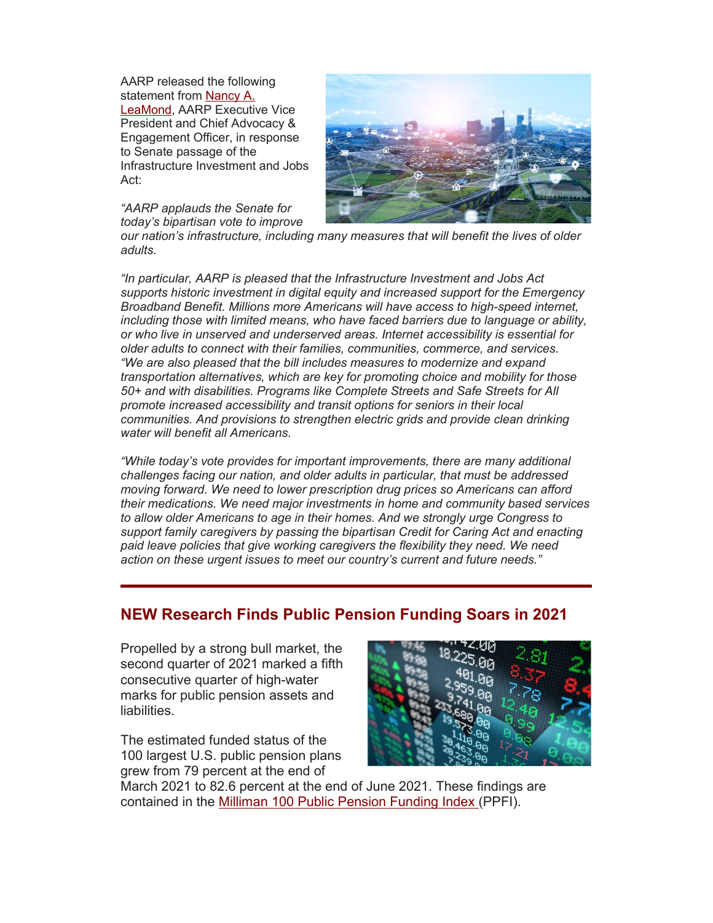AARP released the following statement from [Nancy A.](https://r20.rs6.net/tn.jsp?f=001rnkpvpGdTKrfyhBaXhj_qmnrot8uvLlZUvcaCKzaC6WqeJp4abkVVShYCKNNi2KtLPWFcAbDjU7cIYoOg_pJDuNMqTU1-k__bmJzVLswiJ0tC27un9dkHwz8h5k9mvgLe3yzw8ykep-giSNWKjVyaASdHnmmq3bW6m2tFj-uTSULziAyYFa4b98qeTC2XM8r8gAF_MDiLE1XCqOokm6dsETqdI2Z0JAD7bmXVONwXyHMZyZRr_tGTDFEBmLp8QDHvZAw_ZNPgho=&c=5oyp_K7jORGwv1FtwztCCE7_2NvDYrx3PTruT3m8WhEuMZ-6T6rEMQ==&ch=TzHsWNYIzpW4M89tdPtgMJyrbyY0Cv_EMgreK9fG-lMU3b7RUxrz_w==)  [LeaMond,](https://r20.rs6.net/tn.jsp?f=001rnkpvpGdTKrfyhBaXhj_qmnrot8uvLlZUvcaCKzaC6WqeJp4abkVVShYCKNNi2KtLPWFcAbDjU7cIYoOg_pJDuNMqTU1-k__bmJzVLswiJ0tC27un9dkHwz8h5k9mvgLe3yzw8ykep-giSNWKjVyaASdHnmmq3bW6m2tFj-uTSULziAyYFa4b98qeTC2XM8r8gAF_MDiLE1XCqOokm6dsETqdI2Z0JAD7bmXVONwXyHMZyZRr_tGTDFEBmLp8QDHvZAw_ZNPgho=&c=5oyp_K7jORGwv1FtwztCCE7_2NvDYrx3PTruT3m8WhEuMZ-6T6rEMQ==&ch=TzHsWNYIzpW4M89tdPtgMJyrbyY0Cv_EMgreK9fG-lMU3b7RUxrz_w==) AARP Executive Vice President and Chief Advocacy & Engagement Officer, in response to Senate passage of the Infrastructure Investment and Jobs Act:



*"AARP applauds the Senate for today's bipartisan vote to improve* 

*our nation's infrastructure, including many measures that will benefit the lives of older adults.* 

*"In particular, AARP is pleased that the Infrastructure Investment and Jobs Act supports historic investment in digital equity and increased support for the Emergency Broadband Benefit. Millions more Americans will have access to high-speed internet, including those with limited means, who have faced barriers due to language or ability, or who live in unserved and underserved areas. Internet accessibility is essential for older adults to connect with their families, communities, commerce, and services. "We are also pleased that the bill includes measures to modernize and expand transportation alternatives, which are key for promoting choice and mobility for those 50+ and with disabilities. Programs like Complete Streets and Safe Streets for All promote increased accessibility and transit options for seniors in their local communities. And provisions to strengthen electric grids and provide clean drinking water will benefit all Americans.*

*"While today's vote provides for important improvements, there are many additional challenges facing our nation, and older adults in particular, that must be addressed moving forward. We need to lower prescription drug prices so Americans can afford their medications. We need major investments in home and community based services to allow older Americans to age in their homes. And we strongly urge Congress to support family caregivers by passing the bipartisan Credit for Caring Act and enacting paid leave policies that give working caregivers the flexibility they need. We need action on these urgent issues to meet our country's current and future needs."*

### **NEW Research Finds Public Pension Funding Soars in 2021**

Propelled by a strong bull market, the second quarter of 2021 marked a fifth consecutive quarter of high-water marks for public pension assets and liabilities.

The estimated funded status of the 100 largest U.S. public pension plans grew from 79 percent at the end of



March 2021 to 82.6 percent at the end of June 2021. These findings are contained in the [Milliman 100 Public Pension Funding Index \(](https://r20.rs6.net/tn.jsp?f=001rnkpvpGdTKrfyhBaXhj_qmnrot8uvLlZUvcaCKzaC6WqeJp4abkVVShYCKNNi2KtiPWEalzB9aTQ_s07QO4RcwP-kwnnJBX1DUkethoW6VGFbZw_C1JFGZLFEsklXlju4VhgBnCTxESUOqNQ3l8Vl5X-seUnrGJgYG8g_19qxXj3l-b38AmDTy_DUPA_7XBRbzEwIaSnkmtCBD19Y4w552dAoRz7kOad&c=5oyp_K7jORGwv1FtwztCCE7_2NvDYrx3PTruT3m8WhEuMZ-6T6rEMQ==&ch=TzHsWNYIzpW4M89tdPtgMJyrbyY0Cv_EMgreK9fG-lMU3b7RUxrz_w==)PPFI).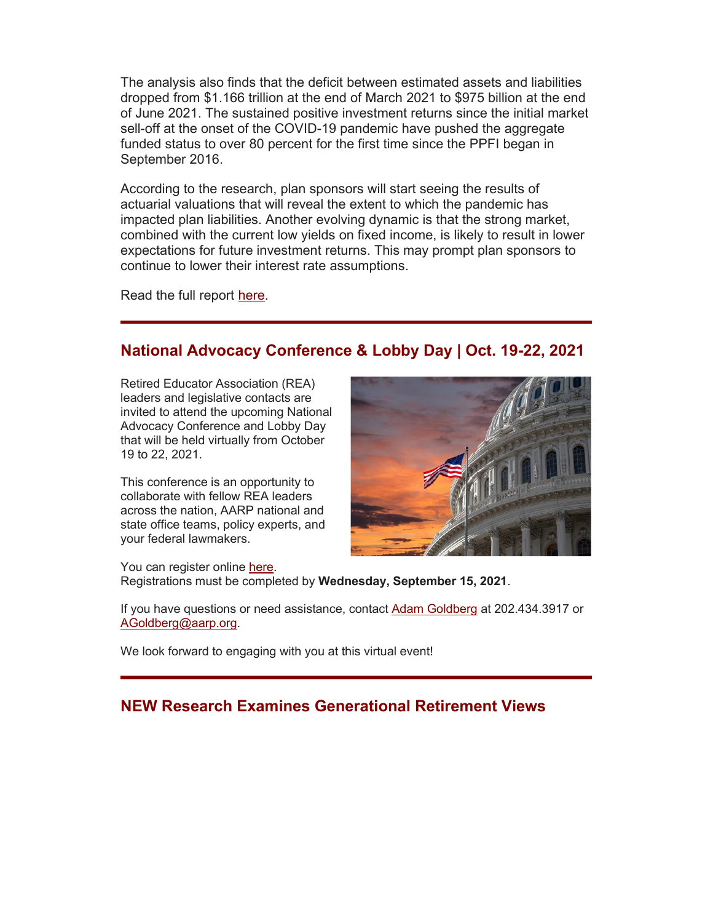The analysis also finds that the deficit between estimated assets and liabilities dropped from \$1.166 trillion at the end of March 2021 to \$975 billion at the end of June 2021. The sustained positive investment returns since the initial market sell-off at the onset of the COVID-19 pandemic have pushed the aggregate funded status to over 80 percent for the first time since the PPFI began in September 2016.

According to the research, plan sponsors will start seeing the results of actuarial valuations that will reveal the extent to which the pandemic has impacted plan liabilities. Another evolving dynamic is that the strong market, combined with the current low yields on fixed income, is likely to result in lower expectations for future investment returns. This may prompt plan sponsors to continue to lower their interest rate assumptions.

Read the full report [here.](https://r20.rs6.net/tn.jsp?f=001rnkpvpGdTKrfyhBaXhj_qmnrot8uvLlZUvcaCKzaC6WqeJp4abkVVShYCKNNi2KtaklAar5lDWHyjf3vWDZIr5RrVkVpnhw-NbCLEGtREVJro34PvkkGCD_CcM3RHsVz8_KKdgtv9XHNUet0vRSEF7epi53KwWo7-mi1miBWloJX9UYuIN1q4kY-HOjdVoAZtDO1Lx0IhXkF_hefZx-rd0b_4I7levGwApodfby7vm1kkCwUcck2ZQ==&c=5oyp_K7jORGwv1FtwztCCE7_2NvDYrx3PTruT3m8WhEuMZ-6T6rEMQ==&ch=TzHsWNYIzpW4M89tdPtgMJyrbyY0Cv_EMgreK9fG-lMU3b7RUxrz_w==)

## **National Advocacy Conference & Lobby Day | Oct. 19-22, 2021**

Retired Educator Association (REA) leaders and legislative contacts are invited to attend the upcoming National Advocacy Conference and Lobby Day that will be held virtually from October 19 to 22, 2021.

This conference is an opportunity to collaborate with fellow REA leaders across the nation, AARP national and state office teams, policy experts, and your federal lawmakers.



You can register online [here.](https://r20.rs6.net/tn.jsp?f=001rnkpvpGdTKrfyhBaXhj_qmnrot8uvLlZUvcaCKzaC6WqeJp4abkVVXEHt69W9hQUgRBfGuWuBAAQGNjN0y8yIKoa8HahoG--Wkcw6hZqV14Jorq-l9axCUaKdF5xjni0P-uZguzbjHwzyJolRoMZaDic-JR2tUousP8wB1rqRiLaz0TbBlJ03F3vqc1IH5cPCwwL1CddwYNZt-rJECb-dASUrrdstpDMBwM6wutoHHIsbIMxmU9mvehCcRu5rtfeUaDHJTz1D0VQT4rFxKvllD0cKmrOfwjG&c=5oyp_K7jORGwv1FtwztCCE7_2NvDYrx3PTruT3m8WhEuMZ-6T6rEMQ==&ch=TzHsWNYIzpW4M89tdPtgMJyrbyY0Cv_EMgreK9fG-lMU3b7RUxrz_w==)

Registrations must be completed by **Wednesday, September 15, 2021**.

If you have questions or need assistance, contact **Adam Goldberg** at 202.434.3917 or [AGoldberg@aarp.org.](mailto:AGoldberg@aarp.org)

We look forward to engaging with you at this virtual event!

### **NEW Research Examines Generational Retirement Views**